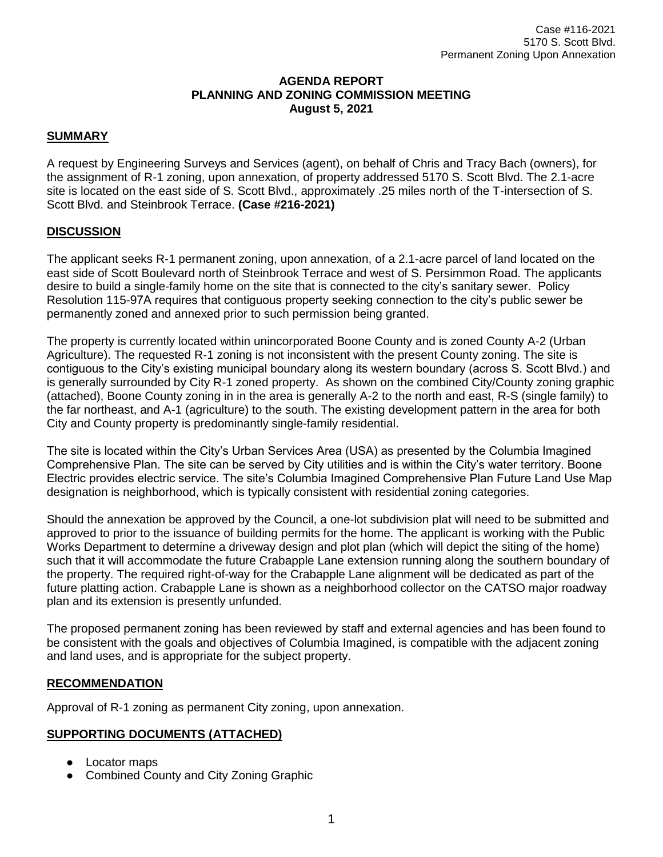## **AGENDA REPORT PLANNING AND ZONING COMMISSION MEETING August 5, 2021**

# **SUMMARY**

A request by Engineering Surveys and Services (agent), on behalf of Chris and Tracy Bach (owners), for the assignment of R-1 zoning, upon annexation, of property addressed 5170 S. Scott Blvd. The 2.1-acre site is located on the east side of S. Scott Blvd., approximately .25 miles north of the T-intersection of S. Scott Blvd. and Steinbrook Terrace. **(Case #216-2021)**

## **DISCUSSION**

The applicant seeks R-1 permanent zoning, upon annexation, of a 2.1-acre parcel of land located on the east side of Scott Boulevard north of Steinbrook Terrace and west of S. Persimmon Road. The applicants desire to build a single-family home on the site that is connected to the city's sanitary sewer. Policy Resolution 115-97A requires that contiguous property seeking connection to the city's public sewer be permanently zoned and annexed prior to such permission being granted.

The property is currently located within unincorporated Boone County and is zoned County A-2 (Urban Agriculture). The requested R-1 zoning is not inconsistent with the present County zoning. The site is contiguous to the City's existing municipal boundary along its western boundary (across S. Scott Blvd.) and is generally surrounded by City R-1 zoned property. As shown on the combined City/County zoning graphic (attached), Boone County zoning in in the area is generally A-2 to the north and east, R-S (single family) to the far northeast, and A-1 (agriculture) to the south. The existing development pattern in the area for both City and County property is predominantly single-family residential.

The site is located within the City's Urban Services Area (USA) as presented by the Columbia Imagined Comprehensive Plan. The site can be served by City utilities and is within the City's water territory. Boone Electric provides electric service. The site's Columbia Imagined Comprehensive Plan Future Land Use Map designation is neighborhood, which is typically consistent with residential zoning categories.

Should the annexation be approved by the Council, a one-lot subdivision plat will need to be submitted and approved to prior to the issuance of building permits for the home. The applicant is working with the Public Works Department to determine a driveway design and plot plan (which will depict the siting of the home) such that it will accommodate the future Crabapple Lane extension running along the southern boundary of the property. The required right-of-way for the Crabapple Lane alignment will be dedicated as part of the future platting action. Crabapple Lane is shown as a neighborhood collector on the CATSO major roadway plan and its extension is presently unfunded.

The proposed permanent zoning has been reviewed by staff and external agencies and has been found to be consistent with the goals and objectives of Columbia Imagined, is compatible with the adjacent zoning and land uses, and is appropriate for the subject property.

## **RECOMMENDATION**

Approval of R-1 zoning as permanent City zoning, upon annexation.

## **SUPPORTING DOCUMENTS (ATTACHED)**

- Locator maps
- Combined County and City Zoning Graphic